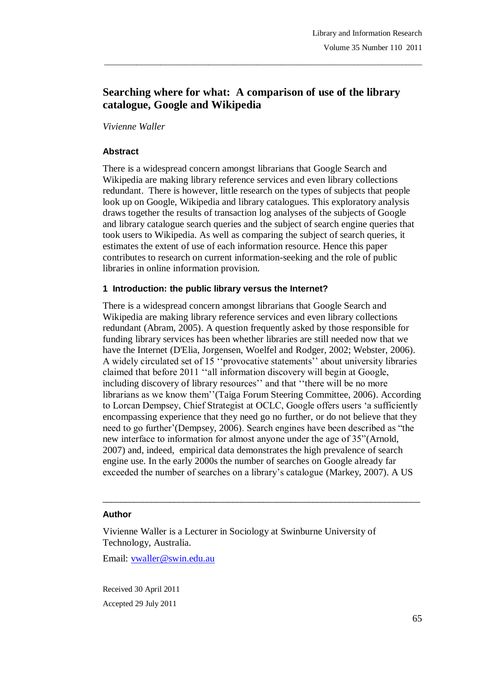# **Searching where for what: A comparison of use of the library catalogue, Google and Wikipedia**

\_\_\_\_\_\_\_\_\_\_\_\_\_\_\_\_\_\_\_\_\_\_\_\_\_\_\_\_\_\_\_\_\_\_\_\_\_\_\_\_\_\_\_\_\_\_\_\_\_\_\_\_\_\_\_\_\_\_\_\_\_\_\_\_\_\_\_\_\_\_\_\_\_\_\_\_\_\_\_

*Vivienne Waller*

#### **Abstract**

There is a widespread concern amongst librarians that Google Search and Wikipedia are making library reference services and even library collections redundant. There is however, little research on the types of subjects that people look up on Google, Wikipedia and library catalogues. This exploratory analysis draws together the results of transaction log analyses of the subjects of Google and library catalogue search queries and the subject of search engine queries that took users to Wikipedia. As well as comparing the subject of search queries, it estimates the extent of use of each information resource. Hence this paper contributes to research on current information-seeking and the role of public libraries in online information provision.

#### **1 Introduction: the public library versus the Internet?**

There is a widespread concern amongst librarians that Google Search and Wikipedia are making library reference services and even library collections redundant (Abram, 2005). A question frequently asked by those responsible for funding library services has been whether libraries are still needed now that we have the Internet (D'Elia, Jorgensen, Woelfel and Rodger, 2002; Webster, 2006). A widely circulated set of 15 "provocative statements" about university libraries claimed that before 2011 ""all information discovery will begin at Google, including discovery of library resources" and that "there will be no more librarians as we know them" (Taiga Forum Steering Committee, 2006). According to Lorcan Dempsey, Chief Strategist at OCLC, Google offers users "a sufficiently encompassing experience that they need go no further, or do not believe that they need to go further"(Dempsey, 2006). Search engines have been described as "the new interface to information for almost anyone under the age of 35"(Arnold, 2007) and, indeed, empirical data demonstrates the high prevalence of search engine use. In the early 2000s the number of searches on Google already far exceeded the number of searches on a library"s catalogue (Markey, 2007). A US

 $\_$  ,  $\_$  ,  $\_$  ,  $\_$  ,  $\_$  ,  $\_$  ,  $\_$  ,  $\_$  ,  $\_$  ,  $\_$  ,  $\_$  ,  $\_$  ,  $\_$  ,  $\_$  ,  $\_$  ,  $\_$  ,  $\_$  ,  $\_$  ,  $\_$ 

#### **Author**

Vivienne Waller is a Lecturer in Sociology at Swinburne University of Technology, Australia.

Email: vwaller@swin.edu.au

Received 30 April 2011 Accepted 29 July 2011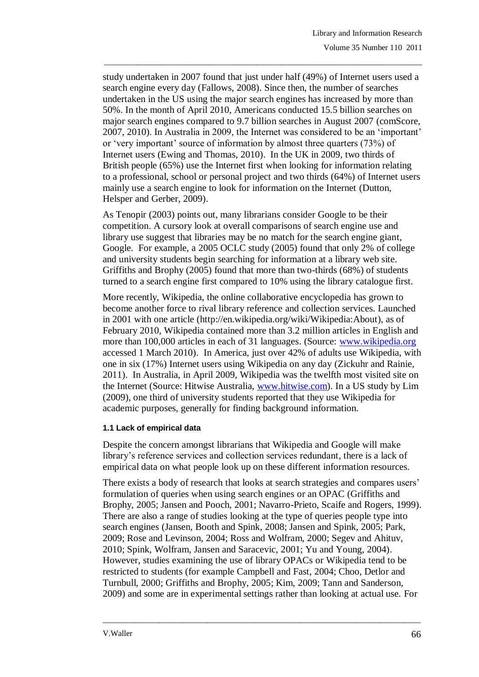study undertaken in 2007 found that just under half (49%) of Internet users used a search engine every day (Fallows, 2008). Since then, the number of searches undertaken in the US using the major search engines has increased by more than 50%. In the month of April 2010, Americans conducted 15.5 billion searches on major search engines compared to 9.7 billion searches in August 2007 (comScore, 2007, 2010). In Australia in 2009, the Internet was considered to be an "important" or "very important" source of information by almost three quarters (73%) of Internet users (Ewing and Thomas, 2010). In the UK in 2009, two thirds of British people (65%) use the Internet first when looking for information relating to a professional, school or personal project and two thirds (64%) of Internet users mainly use a search engine to look for information on the Internet (Dutton, Helsper and Gerber, 2009).

\_\_\_\_\_\_\_\_\_\_\_\_\_\_\_\_\_\_\_\_\_\_\_\_\_\_\_\_\_\_\_\_\_\_\_\_\_\_\_\_\_\_\_\_\_\_\_\_\_\_\_\_\_\_\_\_\_\_\_\_\_\_\_\_\_\_\_\_\_\_\_\_\_\_\_\_\_\_\_

As Tenopir (2003) points out, many librarians consider Google to be their competition. A cursory look at overall comparisons of search engine use and library use suggest that libraries may be no match for the search engine giant, Google. For example, a 2005 OCLC study (2005) found that only 2% of college and university students begin searching for information at a library web site. Griffiths and Brophy (2005) found that more than two-thirds (68%) of students turned to a search engine first compared to 10% using the library catalogue first.

More recently, Wikipedia, the online collaborative encyclopedia has grown to become another force to rival library reference and collection services. Launched in 2001 with one article (http://en.wikipedia.org/wiki/Wikipedia:About), as of February 2010, Wikipedia contained more than 3.2 million articles in English and more than 100,000 articles in each of 31 languages. (Source: [www.wikipedia.org](http://www.wikipedia.org/) accessed 1 March 2010). In America, just over 42% of adults use Wikipedia, with one in six (17%) Internet users using Wikipedia on any day (Zickuhr and Rainie, 2011). In Australia, in April 2009, Wikipedia was the twelfth most visited site on the Internet (Source: Hitwise Australia, [www.hitwise.com\)](../../../../../../../../../../../journal%20articles%20in%20progress/search%20article%20comparing%20results/www.hitwise.com). In a US study by Lim (2009), one third of university students reported that they use Wikipedia for academic purposes, generally for finding background information.

### **1.1 Lack of empirical data**

Despite the concern amongst librarians that Wikipedia and Google will make library's reference services and collection services redundant, there is a lack of empirical data on what people look up on these different information resources.

There exists a body of research that looks at search strategies and compares users' formulation of queries when using search engines or an OPAC (Griffiths and Brophy, 2005; Jansen and Pooch, 2001; Navarro-Prieto, Scaife and Rogers, 1999). There are also a range of studies looking at the type of queries people type into search engines (Jansen, Booth and Spink, 2008; Jansen and Spink, 2005; Park, 2009; Rose and Levinson, 2004; Ross and Wolfram, 2000; Segev and Ahituv, 2010; Spink, Wolfram, Jansen and Saracevic, 2001; Yu and Young, 2004). However, studies examining the use of library OPACs or Wikipedia tend to be restricted to students (for example Campbell and Fast, 2004; Choo, Detlor and Turnbull, 2000; Griffiths and Brophy, 2005; Kim, 2009; Tann and Sanderson, 2009) and some are in experimental settings rather than looking at actual use. For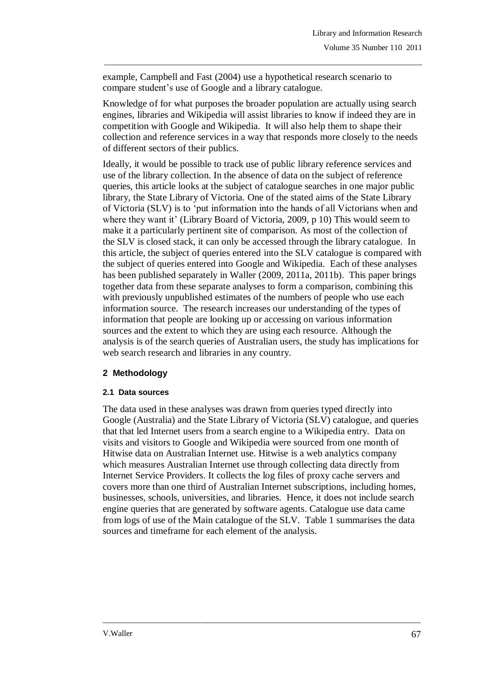example, Campbell and Fast (2004) use a hypothetical research scenario to compare student"s use of Google and a library catalogue.

Knowledge of for what purposes the broader population are actually using search engines, libraries and Wikipedia will assist libraries to know if indeed they are in competition with Google and Wikipedia. It will also help them to shape their collection and reference services in a way that responds more closely to the needs of different sectors of their publics.

\_\_\_\_\_\_\_\_\_\_\_\_\_\_\_\_\_\_\_\_\_\_\_\_\_\_\_\_\_\_\_\_\_\_\_\_\_\_\_\_\_\_\_\_\_\_\_\_\_\_\_\_\_\_\_\_\_\_\_\_\_\_\_\_\_\_\_\_\_\_\_\_\_\_\_\_\_\_\_

Ideally, it would be possible to track use of public library reference services and use of the library collection. In the absence of data on the subject of reference queries, this article looks at the subject of catalogue searches in one major public library, the State Library of Victoria. One of the stated aims of the State Library of Victoria (SLV) is to "put information into the hands of all Victorians when and where they want it' (Library Board of Victoria, 2009, p 10) This would seem to make it a particularly pertinent site of comparison. As most of the collection of the SLV is closed stack, it can only be accessed through the library catalogue. In this article, the subject of queries entered into the SLV catalogue is compared with the subject of queries entered into Google and Wikipedia. Each of these analyses has been published separately in Waller (2009, 2011a, 2011b). This paper brings together data from these separate analyses to form a comparison, combining this with previously unpublished estimates of the numbers of people who use each information source. The research increases our understanding of the types of information that people are looking up or accessing on various information sources and the extent to which they are using each resource. Although the analysis is of the search queries of Australian users, the study has implications for web search research and libraries in any country.

## **2 Methodology**

### **2.1 Data sources**

The data used in these analyses was drawn from queries typed directly into Google (Australia) and the State Library of Victoria (SLV) catalogue, and queries that that led Internet users from a search engine to a Wikipedia entry. Data on visits and visitors to Google and Wikipedia were sourced from one month of Hitwise data on Australian Internet use. Hitwise is a web analytics company which measures Australian Internet use through collecting data directly from Internet Service Providers. It collects the log files of proxy cache servers and covers more than one third of Australian Internet subscriptions, including homes, businesses, schools, universities, and libraries. Hence, it does not include search engine queries that are generated by software agents. Catalogue use data came from logs of use of the Main catalogue of the SLV. Table 1 summarises the data sources and timeframe for each element of the analysis.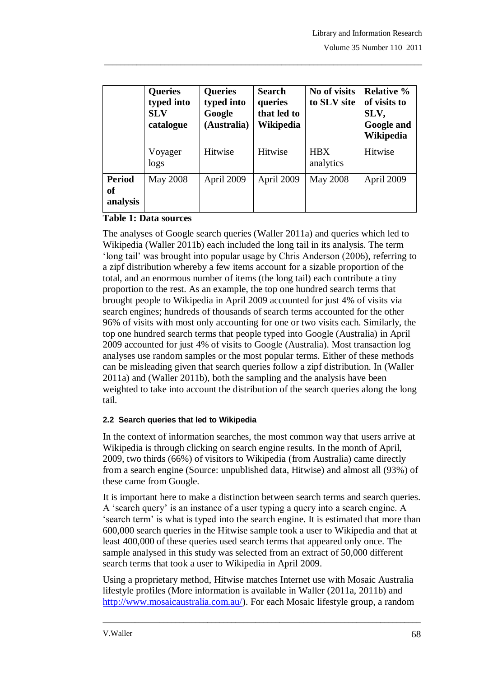|                                            | <b>Queries</b><br>typed into<br><b>SLV</b><br>catalogue | <b>Queries</b><br>typed into<br>Google<br>(Australia) | <b>Search</b><br>queries<br>that led to<br>Wikipedia | No of visits<br>to SLV site | <b>Relative %</b><br>of visits to<br>SLV,<br><b>Google and</b><br>Wikipedia |
|--------------------------------------------|---------------------------------------------------------|-------------------------------------------------------|------------------------------------------------------|-----------------------------|-----------------------------------------------------------------------------|
|                                            | Voyager<br>$\log s$                                     | Hitwise                                               | Hitwise                                              | <b>HBX</b><br>analytics     | Hitwise                                                                     |
| <b>Period</b><br><sub>of</sub><br>analysis | May 2008                                                | April 2009                                            | April 2009                                           | <b>May 2008</b>             | April 2009                                                                  |

\_\_\_\_\_\_\_\_\_\_\_\_\_\_\_\_\_\_\_\_\_\_\_\_\_\_\_\_\_\_\_\_\_\_\_\_\_\_\_\_\_\_\_\_\_\_\_\_\_\_\_\_\_\_\_\_\_\_\_\_\_\_\_\_\_\_\_\_\_\_\_\_\_\_\_\_\_\_\_

### **Table 1: Data sources**

The analyses of Google search queries (Waller 2011a) and queries which led to Wikipedia (Waller 2011b) each included the long tail in its analysis. The term "long tail" was brought into popular usage by Chris Anderson (2006), referring to a zipf distribution whereby a few items account for a sizable proportion of the total, and an enormous number of items (the long tail) each contribute a tiny proportion to the rest. As an example, the top one hundred search terms that brought people to Wikipedia in April 2009 accounted for just 4% of visits via search engines; hundreds of thousands of search terms accounted for the other 96% of visits with most only accounting for one or two visits each. Similarly, the top one hundred search terms that people typed into Google (Australia) in April 2009 accounted for just 4% of visits to Google (Australia). Most transaction log analyses use random samples or the most popular terms. Either of these methods can be misleading given that search queries follow a zipf distribution. In (Waller 2011a) and (Waller 2011b), both the sampling and the analysis have been weighted to take into account the distribution of the search queries along the long tail.

### **2.2 Search queries that led to Wikipedia**

In the context of information searches, the most common way that users arrive at Wikipedia is through clicking on search engine results. In the month of April, 2009, two thirds (66%) of visitors to Wikipedia (from Australia) came directly from a search engine (Source: [unpublished data, Hitwise\)](http://www.hitwise.com/) and almost all (93%) of these came from Google.

It is important here to make a distinction between search terms and search queries. A "search query" is an instance of a user typing a query into a search engine. A "search term" is what is typed into the search engine. It is estimated that more than 600,000 search queries in the Hitwise sample took a user to Wikipedia and that at least 400,000 of these queries used search terms that appeared only once. The sample analysed in this study was selected from an extract of 50,000 different search terms that took a user to Wikipedia in April 2009.

Using a proprietary method, Hitwise matches Internet use with Mosaic Australia lifestyle profiles (More information is available in Waller (2011a, 2011b) and [http://www.mosaicaustralia.com.au/\)](http://www.mosaicaustralia.com.au/). For each Mosaic lifestyle group, a random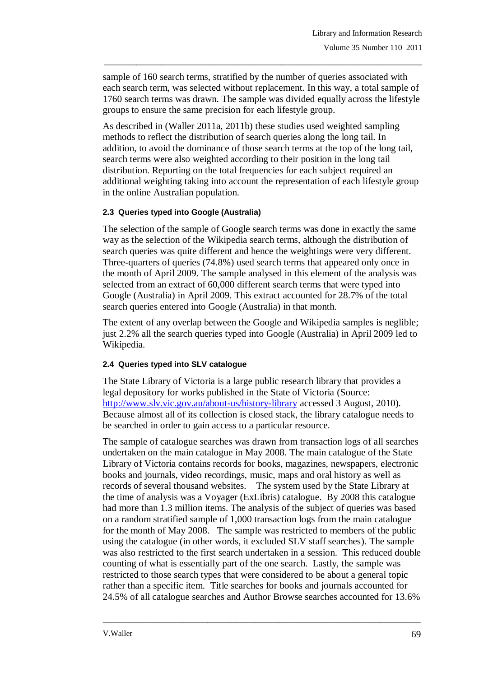sample of 160 search terms, stratified by the number of queries associated with each search term, was selected without replacement. In this way, a total sample of 1760 search terms was drawn. The sample was divided equally across the lifestyle groups to ensure the same precision for each lifestyle group.

\_\_\_\_\_\_\_\_\_\_\_\_\_\_\_\_\_\_\_\_\_\_\_\_\_\_\_\_\_\_\_\_\_\_\_\_\_\_\_\_\_\_\_\_\_\_\_\_\_\_\_\_\_\_\_\_\_\_\_\_\_\_\_\_\_\_\_\_\_\_\_\_\_\_\_\_\_\_\_

As described in (Waller 2011a, 2011b) these studies used weighted sampling methods to reflect the distribution of search queries along the long tail. In addition, to avoid the dominance of those search terms at the top of the long tail, search terms were also weighted according to their position in the long tail distribution. Reporting on the total frequencies for each subject required an additional weighting taking into account the representation of each lifestyle group in the online Australian population.

### **2.3 Queries typed into Google (Australia)**

The selection of the sample of Google search terms was done in exactly the same way as the selection of the Wikipedia search terms, although the distribution of search queries was quite different and hence the weightings were very different. Three-quarters of queries (74.8%) used search terms that appeared only once in the month of April 2009. The sample analysed in this element of the analysis was selected from an extract of 60,000 different search terms that were typed into Google (Australia) in April 2009. This extract accounted for 28.7% of the total search queries entered into Google (Australia) in that month.

The extent of any overlap between the Google and Wikipedia samples is neglible; just 2.2% all the search queries typed into Google (Australia) in April 2009 led to Wikipedia.

### **2.4 Queries typed into SLV catalogue**

The State Library of Victoria is a large public research library that provides a legal depository for works published in the State of Victoria (Source: <http://www.slv.vic.gov.au/about-us/history-library> accessed 3 August, 2010). Because almost all of its collection is closed stack, the library catalogue needs to be searched in order to gain access to a particular resource.

The sample of catalogue searches was drawn from transaction logs of all searches undertaken on the main catalogue in May 2008. The main catalogue of the State Library of Victoria contains records for books, magazines, newspapers, electronic books and journals, video recordings, music, maps and oral history as well as records of several thousand websites. The system used by the State Library at the time of analysis was a Voyager (ExLibris) catalogue. By 2008 this catalogue had more than 1.3 million items. The analysis of the subject of queries was based on a random stratified sample of 1,000 transaction logs from the main catalogue for the month of May 2008. The sample was restricted to members of the public using the catalogue (in other words, it excluded SLV staff searches). The sample was also restricted to the first search undertaken in a session. This reduced double counting of what is essentially part of the one search. Lastly, the sample was restricted to those search types that were considered to be about a general topic rather than a specific item. Title searches for books and journals accounted for 24.5% of all catalogue searches and Author Browse searches accounted for 13.6%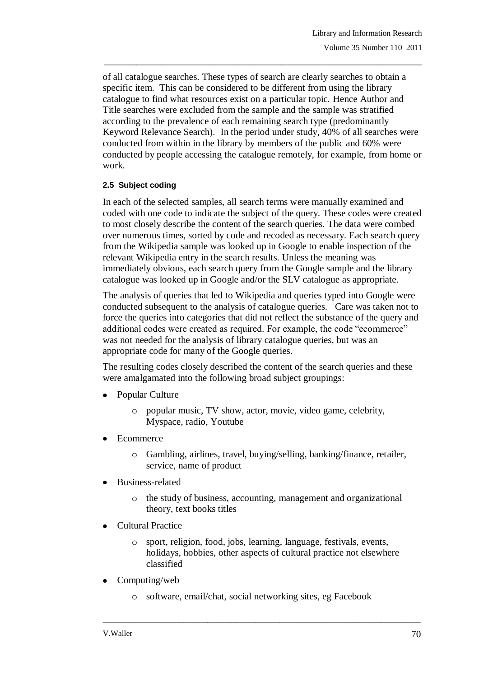of all catalogue searches. These types of search are clearly searches to obtain a specific item. This can be considered to be different from using the library catalogue to find what resources exist on a particular topic. Hence Author and Title searches were excluded from the sample and the sample was stratified according to the prevalence of each remaining search type (predominantly Keyword Relevance Search). In the period under study, 40% of all searches were conducted from within in the library by members of the public and 60% were conducted by people accessing the catalogue remotely, for example, from home or work.

\_\_\_\_\_\_\_\_\_\_\_\_\_\_\_\_\_\_\_\_\_\_\_\_\_\_\_\_\_\_\_\_\_\_\_\_\_\_\_\_\_\_\_\_\_\_\_\_\_\_\_\_\_\_\_\_\_\_\_\_\_\_\_\_\_\_\_\_\_\_\_\_\_\_\_\_\_\_\_

### **2.5 Subject coding**

In each of the selected samples, all search terms were manually examined and coded with one code to indicate the subject of the query. These codes were created to most closely describe the content of the search queries. The data were combed over numerous times, sorted by code and recoded as necessary. Each search query from the Wikipedia sample was looked up in Google to enable inspection of the relevant Wikipedia entry in the search results. Unless the meaning was immediately obvious, each search query from the Google sample and the library catalogue was looked up in Google and/or the SLV catalogue as appropriate.

The analysis of queries that led to Wikipedia and queries typed into Google were conducted subsequent to the analysis of catalogue queries. Care was taken not to force the queries into categories that did not reflect the substance of the query and additional codes were created as required. For example, the code "ecommerce" was not needed for the analysis of library catalogue queries, but was an appropriate code for many of the Google queries.

The resulting codes closely described the content of the search queries and these were amalgamated into the following broad subject groupings:

- Popular Culture
	- o popular music, TV show, actor, movie, video game, celebrity, Myspace, radio, Youtube
- Ecommerce
	- o Gambling, airlines, travel, buying/selling, banking/finance, retailer, service, name of product
- Business-related
	- o the study of business, accounting, management and organizational theory, text books titles
- Cultural Practice
	- o sport, religion, food, jobs, learning, language, festivals, events, holidays, hobbies, other aspects of cultural practice not elsewhere classified
- Computing/web
	- o software, email/chat, social networking sites, eg Facebook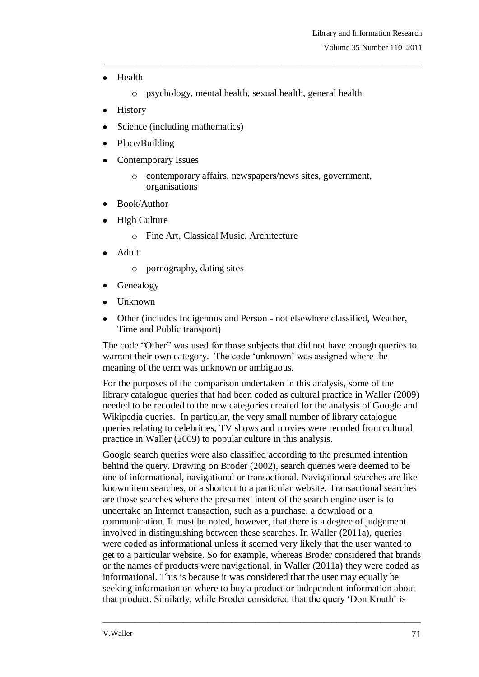Health  $\bullet$ 

o psychology, mental health, sexual health, general health

\_\_\_\_\_\_\_\_\_\_\_\_\_\_\_\_\_\_\_\_\_\_\_\_\_\_\_\_\_\_\_\_\_\_\_\_\_\_\_\_\_\_\_\_\_\_\_\_\_\_\_\_\_\_\_\_\_\_\_\_\_\_\_\_\_\_\_\_\_\_\_\_\_\_\_\_\_\_\_

- **History**
- Science (including mathematics)
- Place/Building
- Contemporary Issues
	- o contemporary affairs, newspapers/news sites, government, organisations
- Book/Author
- High Culture
	- o Fine Art, Classical Music, Architecture
- Adult
	- o pornography, dating sites
- Genealogy
- Unknown
- Other (includes Indigenous and Person not elsewhere classified, Weather, Time and Public transport)

The code "Other" was used for those subjects that did not have enough queries to warrant their own category. The code "unknown" was assigned where the meaning of the term was unknown or ambiguous.

For the purposes of the comparison undertaken in this analysis, some of the library catalogue queries that had been coded as cultural practice in Waller (2009) needed to be recoded to the new categories created for the analysis of Google and Wikipedia queries. In particular, the very small number of library catalogue queries relating to celebrities, TV shows and movies were recoded from cultural practice in Waller (2009) to popular culture in this analysis.

Google search queries were also classified according to the presumed intention behind the query. Drawing on Broder (2002), search queries were deemed to be one of informational, navigational or transactional. Navigational searches are like known item searches, or a shortcut to a particular website. Transactional searches are those searches where the presumed intent of the search engine user is to undertake an Internet transaction, such as a purchase, a download or a communication. It must be noted, however, that there is a degree of judgement involved in distinguishing between these searches. In Waller (2011a), queries were coded as informational unless it seemed very likely that the user wanted to get to a particular website. So for example, whereas Broder considered that brands or the names of products were navigational, in Waller (2011a) they were coded as informational. This is because it was considered that the user may equally be seeking information on where to buy a product or independent information about that product. Similarly, while Broder considered that the query "Don Knuth" is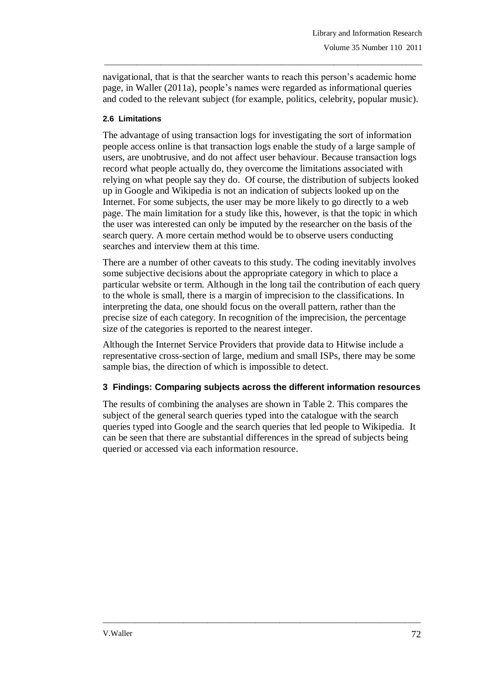navigational, that is that the searcher wants to reach this person"s academic home page, in Waller (2011a), people"s names were regarded as informational queries and coded to the relevant subject (for example, politics, celebrity, popular music).

\_\_\_\_\_\_\_\_\_\_\_\_\_\_\_\_\_\_\_\_\_\_\_\_\_\_\_\_\_\_\_\_\_\_\_\_\_\_\_\_\_\_\_\_\_\_\_\_\_\_\_\_\_\_\_\_\_\_\_\_\_\_\_\_\_\_\_\_\_\_\_\_\_\_\_\_\_\_\_

#### **2.6 Limitations**

The advantage of using transaction logs for investigating the sort of information people access online is that transaction logs enable the study of a large sample of users, are unobtrusive, and do not affect user behaviour. Because transaction logs record what people actually do, they overcome the limitations associated with relying on what people say they do. Of course, the distribution of subjects looked up in Google and Wikipedia is not an indication of subjects looked up on the Internet. For some subjects, the user may be more likely to go directly to a web page. The main limitation for a study like this, however, is that the topic in which the user was interested can only be imputed by the researcher on the basis of the search query. A more certain method would be to observe users conducting searches and interview them at this time.

There are a number of other caveats to this study. The coding inevitably involves some subjective decisions about the appropriate category in which to place a particular website or term. Although in the long tail the contribution of each query to the whole is small, there is a margin of imprecision to the classifications. In interpreting the data, one should focus on the overall pattern, rather than the precise size of each category. In recognition of the imprecision, the percentage size of the categories is reported to the nearest integer.

Although the Internet Service Providers that provide data to Hitwise include a representative cross-section of large, medium and small ISPs, there may be some sample bias, the direction of which is impossible to detect.

### **3 Findings: Comparing subjects across the different information resources**

The results of combining the analyses are shown in Table 2. This compares the subject of the general search queries typed into the catalogue with the search queries typed into Google and the search queries that led people to Wikipedia. It can be seen that there are substantial differences in the spread of subjects being queried or accessed via each information resource.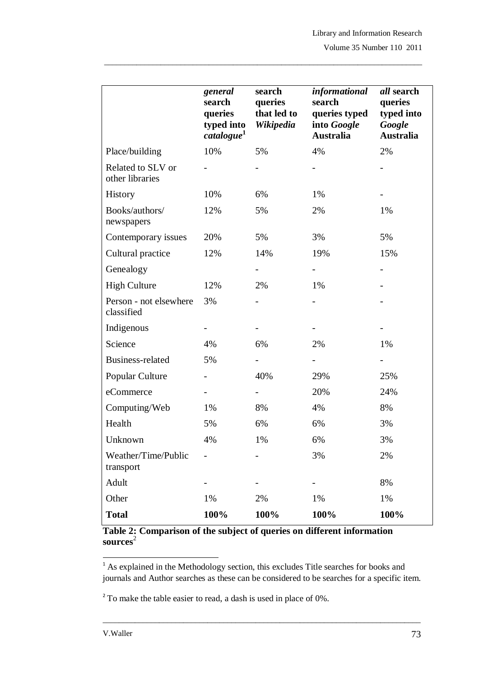|                                      | general<br>search<br>queries<br>typed into<br>catalogue <sup>1</sup> | search<br>queries<br>that led to<br>Wikipedia | informational<br>search<br>queries typed<br>into Google<br><b>Australia</b> | all search<br>queries<br>typed into<br>Google<br><b>Australia</b> |
|--------------------------------------|----------------------------------------------------------------------|-----------------------------------------------|-----------------------------------------------------------------------------|-------------------------------------------------------------------|
| Place/building                       | 10%                                                                  | 5%                                            | 4%                                                                          | 2%                                                                |
| Related to SLV or<br>other libraries |                                                                      |                                               |                                                                             |                                                                   |
| History                              | 10%                                                                  | 6%                                            | 1%                                                                          |                                                                   |
| Books/authors/<br>newspapers         | 12%                                                                  | 5%                                            | 2%                                                                          | 1%                                                                |
| Contemporary issues                  | 20%                                                                  | 5%                                            | 3%                                                                          | 5%                                                                |
| Cultural practice                    | 12%                                                                  | 14%                                           | 19%                                                                         | 15%                                                               |
| Genealogy                            |                                                                      |                                               |                                                                             | $\overline{\phantom{0}}$                                          |
| <b>High Culture</b>                  | 12%                                                                  | 2%                                            | 1%                                                                          |                                                                   |
| Person - not elsewhere<br>classified | 3%                                                                   |                                               |                                                                             |                                                                   |
| Indigenous                           |                                                                      |                                               |                                                                             |                                                                   |
| Science                              | 4%                                                                   | 6%                                            | 2%                                                                          | 1%                                                                |
| <b>Business-related</b>              | 5%                                                                   | $\qquad \qquad \blacksquare$                  | $\overline{\phantom{a}}$                                                    | $\qquad \qquad \blacksquare$                                      |
| Popular Culture                      |                                                                      | 40%                                           | 29%                                                                         | 25%                                                               |
| eCommerce                            | $\overline{\phantom{0}}$                                             | $\overline{\phantom{0}}$                      | 20%                                                                         | 24%                                                               |
| Computing/Web                        | 1%                                                                   | 8%                                            | 4%                                                                          | 8%                                                                |
| Health                               | 5%                                                                   | 6%                                            | 6%                                                                          | 3%                                                                |
| Unknown                              | 4%                                                                   | 1%                                            | 6%                                                                          | 3%                                                                |
| Weather/Time/Public<br>transport     |                                                                      |                                               | 3%                                                                          | 2%                                                                |
| Adult                                |                                                                      |                                               |                                                                             | 8%                                                                |
| Other                                | 1%                                                                   | 2%                                            | 1%                                                                          | 1%                                                                |
| <b>Total</b>                         | 100%                                                                 | 100%                                          | 100%                                                                        | 100%                                                              |

\_\_\_\_\_\_\_\_\_\_\_\_\_\_\_\_\_\_\_\_\_\_\_\_\_\_\_\_\_\_\_\_\_\_\_\_\_\_\_\_\_\_\_\_\_\_\_\_\_\_\_\_\_\_\_\_\_\_\_\_\_\_\_\_\_\_\_\_\_\_\_\_\_\_\_\_\_\_\_

## **Table 2: Comparison of the subject of queries on different information**  sources<sup>2</sup>

 $<sup>1</sup>$  As explained in the Methodology section, this excludes Title searches for books and</sup> journals and Author searches as these can be considered to be searches for a specific item.

\_\_\_\_\_\_\_\_\_\_\_\_\_\_\_\_\_\_\_\_\_\_\_\_\_\_\_\_\_\_\_\_\_\_\_\_\_\_\_\_\_\_\_\_\_\_\_\_\_\_\_\_\_\_\_\_\_\_\_\_\_\_\_\_\_\_\_\_\_\_\_\_\_\_\_\_\_\_\_

 $2^2$  To make the table easier to read, a dash is used in place of 0%.

l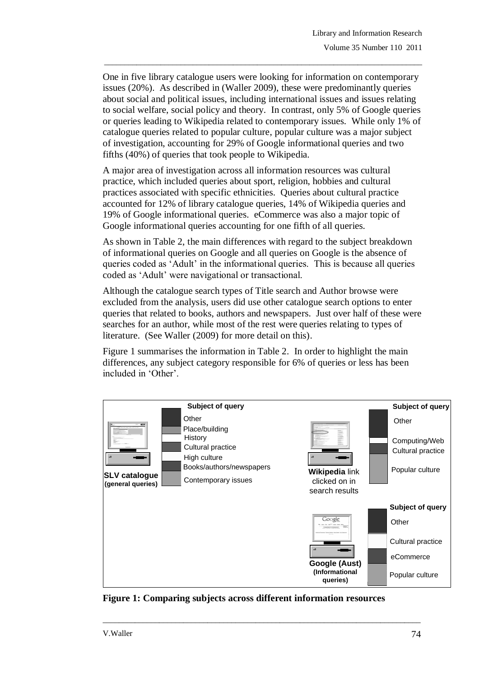One in five library catalogue users were looking for information on contemporary issues (20%). As described in (Waller 2009), these were predominantly queries about social and political issues, including international issues and issues relating to social welfare, social policy and theory. In contrast, only 5% of Google queries or queries leading to Wikipedia related to contemporary issues. While only 1% of catalogue queries related to popular culture, popular culture was a major subject of investigation, accounting for 29% of Google informational queries and two fifths (40%) of queries that took people to Wikipedia.

\_\_\_\_\_\_\_\_\_\_\_\_\_\_\_\_\_\_\_\_\_\_\_\_\_\_\_\_\_\_\_\_\_\_\_\_\_\_\_\_\_\_\_\_\_\_\_\_\_\_\_\_\_\_\_\_\_\_\_\_\_\_\_\_\_\_\_\_\_\_\_\_\_\_\_\_\_\_\_

A major area of investigation across all information resources was cultural practice, which included queries about sport, religion, hobbies and cultural practices associated with specific ethnicities. Queries about cultural practice accounted for 12% of library catalogue queries, 14% of Wikipedia queries and 19% of Google informational queries. eCommerce was also a major topic of Google informational queries accounting for one fifth of all queries.

As shown in Table 2, the main differences with regard to the subject breakdown of informational queries on Google and all queries on Google is the absence of queries coded as 'Adult' in the informational queries. This is because all queries coded as "Adult" were navigational or transactional.

Although the catalogue search types of Title search and Author browse were excluded from the analysis, users did use other catalogue search options to enter queries that related to books, authors and newspapers. Just over half of these were searches for an author, while most of the rest were queries relating to types of literature. (See Waller (2009) for more detail on this).

Figure 1 summarises the information in Table 2. In order to highlight the main differences, any subject category responsible for 6% of queries or less has been included in 'Other'.



**Figure 1: Comparing subjects across different information resources**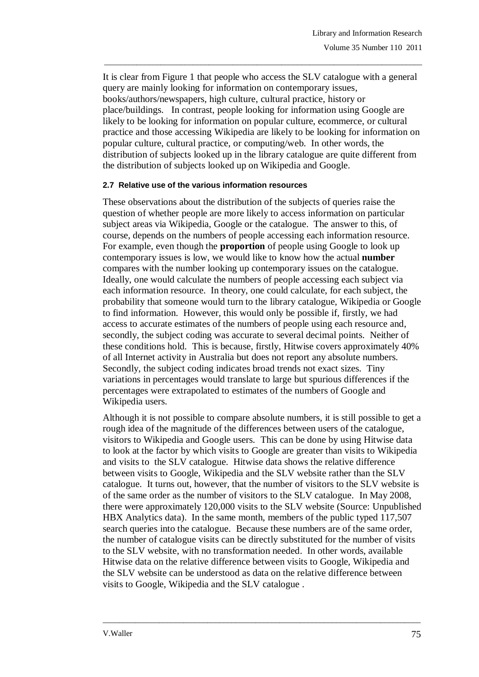It is clear from Figure 1 that people who access the SLV catalogue with a general query are mainly looking for information on contemporary issues, books/authors/newspapers, high culture, cultural practice, history or place/buildings. In contrast, people looking for information using Google are likely to be looking for information on popular culture, ecommerce, or cultural practice and those accessing Wikipedia are likely to be looking for information on popular culture, cultural practice, or computing/web. In other words, the distribution of subjects looked up in the library catalogue are quite different from the distribution of subjects looked up on Wikipedia and Google.

\_\_\_\_\_\_\_\_\_\_\_\_\_\_\_\_\_\_\_\_\_\_\_\_\_\_\_\_\_\_\_\_\_\_\_\_\_\_\_\_\_\_\_\_\_\_\_\_\_\_\_\_\_\_\_\_\_\_\_\_\_\_\_\_\_\_\_\_\_\_\_\_\_\_\_\_\_\_\_

#### **2.7 Relative use of the various information resources**

These observations about the distribution of the subjects of queries raise the question of whether people are more likely to access information on particular subject areas via Wikipedia, Google or the catalogue. The answer to this, of course, depends on the numbers of people accessing each information resource. For example, even though the **proportion** of people using Google to look up contemporary issues is low, we would like to know how the actual **number** compares with the number looking up contemporary issues on the catalogue. Ideally, one would calculate the numbers of people accessing each subject via each information resource. In theory, one could calculate, for each subject, the probability that someone would turn to the library catalogue, Wikipedia or Google to find information. However, this would only be possible if, firstly, we had access to accurate estimates of the numbers of people using each resource and, secondly, the subject coding was accurate to several decimal points. Neither of these conditions hold. This is because, firstly, Hitwise covers approximately 40% of all Internet activity in Australia but does not report any absolute numbers. Secondly, the subject coding indicates broad trends not exact sizes. Tiny variations in percentages would translate to large but spurious differences if the percentages were extrapolated to estimates of the numbers of Google and Wikipedia users.

Although it is not possible to compare absolute numbers, it is still possible to get a rough idea of the magnitude of the differences between users of the catalogue, visitors to Wikipedia and Google users. This can be done by using Hitwise data to look at the factor by which visits to Google are greater than visits to Wikipedia and visits to the SLV catalogue. Hitwise data shows the relative difference between visits to Google, Wikipedia and the SLV website rather than the SLV catalogue. It turns out, however, that the number of visitors to the SLV website is of the same order as the number of visitors to the SLV catalogue. In May 2008, there were approximately 120,000 visits to the SLV website (Source: Unpublished HBX Analytics data). In the same month, members of the public typed 117,507 search queries into the catalogue. Because these numbers are of the same order, the number of catalogue visits can be directly substituted for the number of visits to the SLV website, with no transformation needed. In other words, available Hitwise data on the relative difference between visits to Google, Wikipedia and the SLV website can be understood as data on the relative difference between visits to Google, Wikipedia and the SLV catalogue .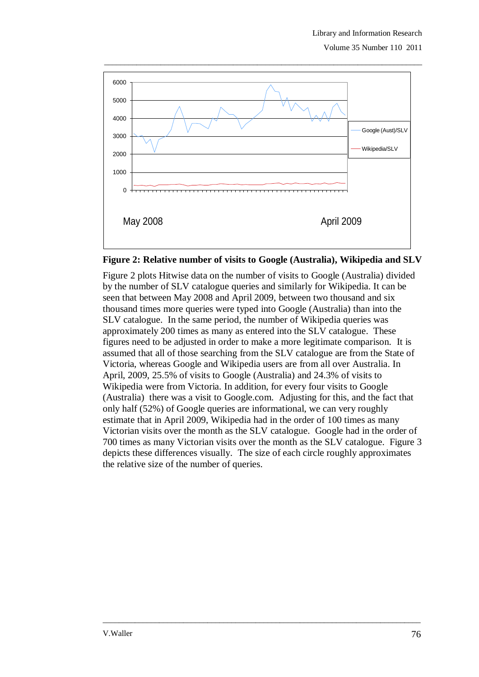Volume 35 Number 110 2011



#### **Figure 2: Relative number of visits to Google (Australia), Wikipedia and SLV**

Figure 2 plots Hitwise data on the number of visits to Google (Australia) divided by the number of SLV catalogue queries and similarly for Wikipedia. It can be seen that between May 2008 and April 2009, between two thousand and six thousand times more queries were typed into Google (Australia) than into the SLV catalogue. In the same period, the number of Wikipedia queries was approximately 200 times as many as entered into the SLV catalogue. These figures need to be adjusted in order to make a more legitimate comparison. It is assumed that all of those searching from the SLV catalogue are from the State of Victoria, whereas Google and Wikipedia users are from all over Australia. In April, 2009, 25.5% of visits to Google (Australia) and 24.3% of visits to Wikipedia were from Victoria. In addition, for every four visits to Google (Australia) there was a visit to Google.com. Adjusting for this, and the fact that only half (52%) of Google queries are informational, we can very roughly estimate that in April 2009, Wikipedia had in the order of 100 times as many Victorian visits over the month as the SLV catalogue. Google had in the order of 700 times as many Victorian visits over the month as the SLV catalogue. Figure 3 depicts these differences visually. The size of each circle roughly approximates the relative size of the number of queries.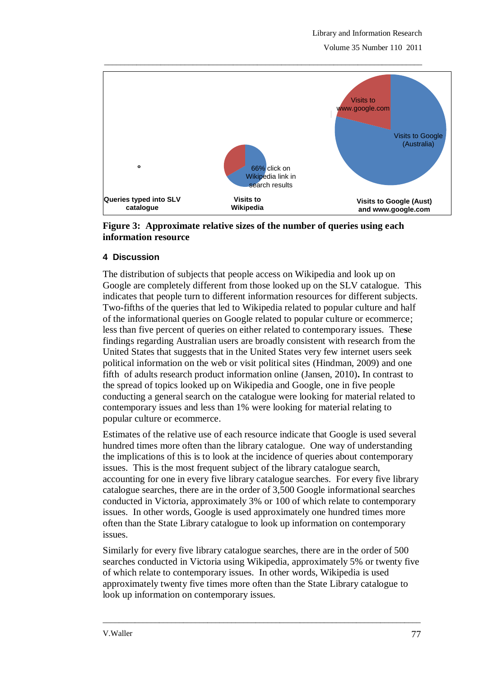Volume 35 Number 110 2011



**Figure 3: Approximate relative sizes of the number of queries using each information resource** 

#### **4 Discussion**

The distribution of subjects that people access on Wikipedia and look up on Google are completely different from those looked up on the SLV catalogue. This indicates that people turn to different information resources for different subjects. Two-fifths of the queries that led to Wikipedia related to popular culture and half of the informational queries on Google related to popular culture or ecommerce; less than five percent of queries on either related to contemporary issues. The**s**e findings regarding Australian users are broadly consistent with research from the United States that suggests that in the United States very few internet users seek political information on the web or visit political sites (Hindman, 2009) and one fifth of adults research product information online (Jansen, 2010)**.** In contrast to the spread of topics looked up on Wikipedia and Google, one in five people conducting a general search on the catalogue were looking for material related to contemporary issues and less than 1% were looking for material relating to popular culture or ecommerce.

Estimates of the relative use of each resource indicate that Google is used several hundred times more often than the library catalogue. One way of understanding the implications of this is to look at the incidence of queries about contemporary issues. This is the most frequent subject of the library catalogue search, accounting for one in every five library catalogue searches. For every five library catalogue searches, there are in the order of 3,500 Google informational searches conducted in Victoria, approximately 3% or 100 of which relate to contemporary issues. In other words, Google is used approximately one hundred times more often than the State Library catalogue to look up information on contemporary issues.

Similarly for every five library catalogue searches, there are in the order of 500 searches conducted in Victoria using Wikipedia, approximately 5% or twenty five of which relate to contemporary issues. In other words, Wikipedia is used approximately twenty five times more often than the State Library catalogue to look up information on contemporary issues.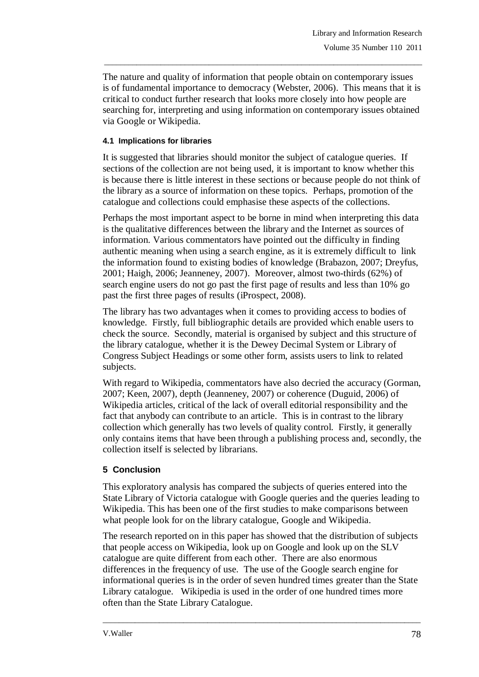The nature and quality of information that people obtain on contemporary issues is of fundamental importance to democracy (Webster, 2006). This means that it is critical to conduct further research that looks more closely into how people are searching for, interpreting and using information on contemporary issues obtained via Google or Wikipedia.

\_\_\_\_\_\_\_\_\_\_\_\_\_\_\_\_\_\_\_\_\_\_\_\_\_\_\_\_\_\_\_\_\_\_\_\_\_\_\_\_\_\_\_\_\_\_\_\_\_\_\_\_\_\_\_\_\_\_\_\_\_\_\_\_\_\_\_\_\_\_\_\_\_\_\_\_\_\_\_

### **4.1 Implications for libraries**

It is suggested that libraries should monitor the subject of catalogue queries. If sections of the collection are not being used, it is important to know whether this is because there is little interest in these sections or because people do not think of the library as a source of information on these topics. Perhaps, promotion of the catalogue and collections could emphasise these aspects of the collections.

Perhaps the most important aspect to be borne in mind when interpreting this data is the qualitative differences between the library and the Internet as sources of information. Various commentators have pointed out the difficulty in finding authentic meaning when using a search engine, as it is extremely difficult to link the information found to existing bodies of knowledge (Brabazon, 2007; Dreyfus, 2001; Haigh, 2006; Jeanneney, 2007). Moreover, almost two-thirds (62%) of search engine users do not go past the first page of results and less than 10% go past the first three pages of results (iProspect, 2008).

The library has two advantages when it comes to providing access to bodies of knowledge. Firstly, full bibliographic details are provided which enable users to check the source. Secondly, material is organised by subject and this structure of the library catalogue, whether it is the Dewey Decimal System or Library of Congress Subject Headings or some other form, assists users to link to related subjects.

With regard to Wikipedia, commentators have also decried the accuracy (Gorman, 2007; Keen, 2007), depth (Jeanneney, 2007) or coherence (Duguid, 2006) of Wikipedia articles, critical of the lack of overall editorial responsibility and the fact that anybody can contribute to an article. This is in contrast to the library collection which generally has two levels of quality control. Firstly, it generally only contains items that have been through a publishing process and, secondly, the collection itself is selected by librarians.

## **5 Conclusion**

This exploratory analysis has compared the subjects of queries entered into the State Library of Victoria catalogue with Google queries and the queries leading to Wikipedia. This has been one of the first studies to make comparisons between what people look for on the library catalogue, Google and Wikipedia.

The research reported on in this paper has showed that the distribution of subjects that people access on Wikipedia, look up on Google and look up on the SLV catalogue are quite different from each other. There are also enormous differences in the frequency of use. The use of the Google search engine for informational queries is in the order of seven hundred times greater than the State Library catalogue. Wikipedia is used in the order of one hundred times more often than the State Library Catalogue.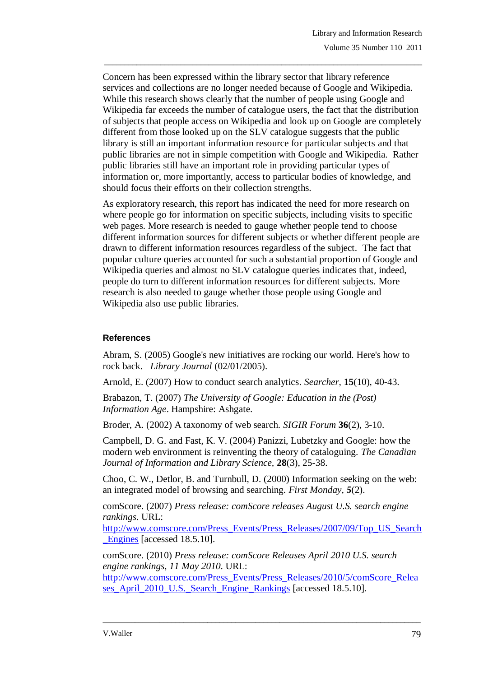Concern has been expressed within the library sector that library reference services and collections are no longer needed because of Google and Wikipedia. While this research shows clearly that the number of people using Google and Wikipedia far exceeds the number of catalogue users, the fact that the distribution of subjects that people access on Wikipedia and look up on Google are completely different from those looked up on the SLV catalogue suggests that the public library is still an important information resource for particular subjects and that public libraries are not in simple competition with Google and Wikipedia. Rather public libraries still have an important role in providing particular types of information or, more importantly, access to particular bodies of knowledge, and should focus their efforts on their collection strengths.

\_\_\_\_\_\_\_\_\_\_\_\_\_\_\_\_\_\_\_\_\_\_\_\_\_\_\_\_\_\_\_\_\_\_\_\_\_\_\_\_\_\_\_\_\_\_\_\_\_\_\_\_\_\_\_\_\_\_\_\_\_\_\_\_\_\_\_\_\_\_\_\_\_\_\_\_\_\_\_

As exploratory research, this report has indicated the need for more research on where people go for information on specific subjects, including visits to specific web pages. More research is needed to gauge whether people tend to choose different information sources for different subjects or whether different people are drawn to different information resources regardless of the subject. The fact that popular culture queries accounted for such a substantial proportion of Google and Wikipedia queries and almost no SLV catalogue queries indicates that, indeed, people do turn to different information resources for different subjects. More research is also needed to gauge whether those people using Google and Wikipedia also use public libraries.

## **References**

Abram, S. (2005) Google's new initiatives are rocking our world. Here's how to rock back. *Library Journal* (02/01/2005).

Arnold, E. (2007) How to conduct search analytics. *Searcher,* **15**(10), 40-43.

Brabazon, T. (2007) *The University of Google: Education in the (Post) Information Age*. Hampshire: Ashgate.

Broder, A. (2002) A taxonomy of web search. *SIGIR Forum* **36**(2), 3-10.

Campbell, D. G. and Fast, K. V. (2004) Panizzi, Lubetzky and Google: how the modern web environment is reinventing the theory of cataloguing. *The Canadian Journal of Information and Library Science,* **28**(3), 25-38.

Choo, C. W., Detlor, B. and Turnbull, D. (2000) Information seeking on the web: an integrated model of browsing and searching. *First Monday, 5*(2).

comScore. (2007) *Press release: comScore releases August U.S. search engine rankings*. URL:

[http://www.comscore.com/Press\\_Events/Press\\_Releases/2007/09/Top\\_US\\_Search](http://www.comscore.com/Press_Events/Press_Releases/2007/09/Top_US_Search_Engines) Engines [accessed 18.5.10].

comScore. (2010) *Press release: comScore Releases April 2010 U.S. search engine rankings, 11 May 2010*. URL: [http://www.comscore.com/Press\\_Events/Press\\_Releases/2010/5/comScore\\_Relea](http://www.comscore.com/Press_Events/Press_Releases/2010/5/comScore_Releases_April_2010_U.S._Search_Engine_Rankings)

[ses\\_April\\_2010\\_U.S.\\_Search\\_Engine\\_Rankings](http://www.comscore.com/Press_Events/Press_Releases/2010/5/comScore_Releases_April_2010_U.S._Search_Engine_Rankings) [accessed 18.5.10].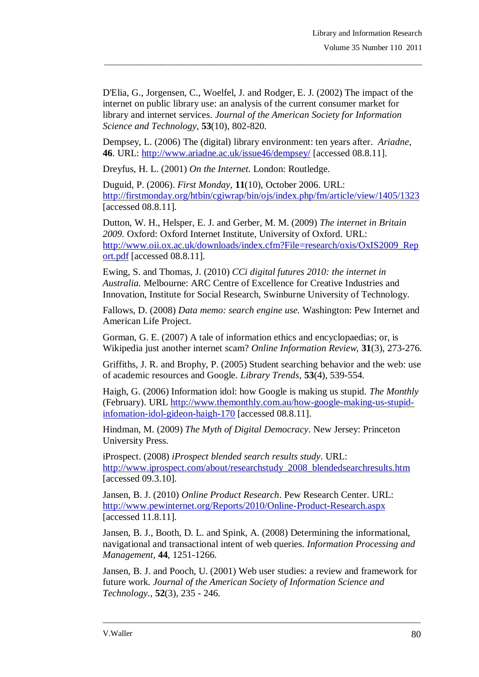D'Elia, G., Jorgensen, C., Woelfel, J. and Rodger, E. J. (2002) The impact of the internet on public library use: an analysis of the current consumer market for library and internet services. *Journal of the American Society for Information Science and Technology,* **53**(10), 802-820.

\_\_\_\_\_\_\_\_\_\_\_\_\_\_\_\_\_\_\_\_\_\_\_\_\_\_\_\_\_\_\_\_\_\_\_\_\_\_\_\_\_\_\_\_\_\_\_\_\_\_\_\_\_\_\_\_\_\_\_\_\_\_\_\_\_\_\_\_\_\_\_\_\_\_\_\_\_\_\_

Dempsey, L. (2006) The (digital) library environment: ten years after. *Ariadne*, **46**. URL:<http://www.ariadne.ac.uk/issue46/dempsey/> [accessed 08.8.11].

Dreyfus, H. L. (2001) *On the Internet*. London: Routledge.

Duguid, P. (2006). *First Monday,* **11**(10), October 2006. URL: <http://firstmonday.org/htbin/cgiwrap/bin/ojs/index.php/fm/article/view/1405/1323> [accessed 08.8.11].

Dutton, W. H., Helsper, E. J. and Gerber, M. M. (2009) *The internet in Britain 2009.* Oxford: Oxford Internet Institute, University of Oxford. URL: [http://www.oii.ox.ac.uk/downloads/index.cfm?File=research/oxis/OxIS2009\\_Rep](http://www.oii.ox.ac.uk/downloads/index.cfm?File=research/oxis/OxIS2009_Report.pdf) [ort.pdf](http://www.oii.ox.ac.uk/downloads/index.cfm?File=research/oxis/OxIS2009_Report.pdf) [accessed 08.8.11].

Ewing, S. and Thomas, J. (2010) *CCi digital futures 2010: the internet in Australia.* Melbourne: ARC Centre of Excellence for Creative Industries and Innovation, Institute for Social Research, Swinburne University of Technology.

Fallows, D. (2008) *Data memo: search engine use.* Washington: Pew Internet and American Life Project.

Gorman, G. E. (2007) A tale of information ethics and encyclopaedias; or, is Wikipedia just another internet scam? *Online Information Review,* **31**(3), 273-276.

Griffiths, J. R. and Brophy, P. (2005) Student searching behavior and the web: use of academic resources and Google. *Library Trends,* **53**(4), 539-554.

Haigh, G. (2006) Information idol: how Google is making us stupid. *The Monthly* (February). URL [http://www.themonthly.com.au/how-google-making-us-stupid](http://www.themonthly.com.au/how-google-making-us-stupid-infomation-idol-gideon-haigh-170)[infomation-idol-gideon-haigh-170](http://www.themonthly.com.au/how-google-making-us-stupid-infomation-idol-gideon-haigh-170) [accessed 08.8.11].

Hindman, M. (2009) *The Myth of Digital Democracy*. New Jersey: Princeton University Press.

iProspect. (2008) *iProspect blended search results study*. URL: [http://www.iprospect.com/about/researchstudy\\_2008\\_blendedsearchresults.htm](http://www.iprospect.com/about/researchstudy_2008_blendedsearchresults.htm) [accessed 09.3.10].

Jansen, B. J. (2010) *Online Product Research*. Pew Research Center. URL: <http://www.pewinternet.org/Reports/2010/Online-Product-Research.aspx> [accessed 11.8.11].

Jansen, B. J., Booth, D. L. and Spink, A. (2008) Determining the informational, navigational and transactional intent of web queries. *Information Processing and Management,* **44**, 1251-1266.

Jansen, B. J. and Pooch, U. (2001) Web user studies: a review and framework for future work. *Journal of the American Society of Information Science and Technology.,* **52**(3), 235 - 246.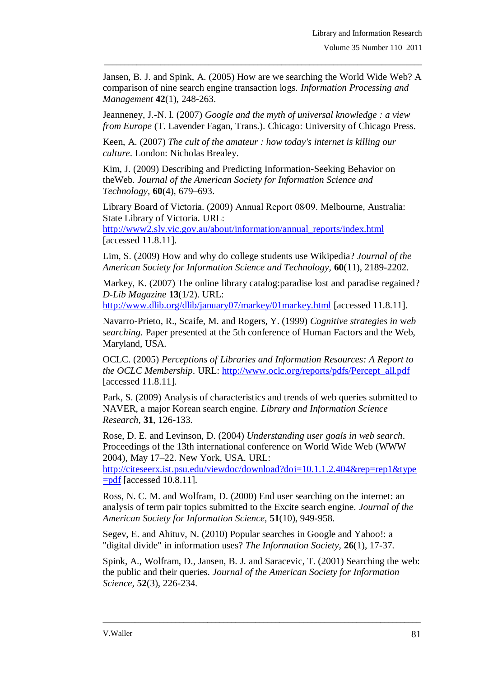Jansen, B. J. and Spink, A. (2005) How are we searching the World Wide Web? A comparison of nine search engine transaction logs. *Information Processing and Management* **42**(1), 248-263.

\_\_\_\_\_\_\_\_\_\_\_\_\_\_\_\_\_\_\_\_\_\_\_\_\_\_\_\_\_\_\_\_\_\_\_\_\_\_\_\_\_\_\_\_\_\_\_\_\_\_\_\_\_\_\_\_\_\_\_\_\_\_\_\_\_\_\_\_\_\_\_\_\_\_\_\_\_\_\_

Jeanneney, J.-N. l. (2007) *Google and the myth of universal knowledge : a view from Europe* (T. Lavender Fagan, Trans.). Chicago: University of Chicago Press.

Keen, A. (2007) *The cult of the amateur : how today's internet is killing our culture*. London: Nicholas Brealey.

Kim, J. (2009) Describing and Predicting Information-Seeking Behavior on theWeb. *Journal of the American Society for Information Science and Technology,* **60**(4), 679–693.

Library Board of Victoria. (2009) Annual Report 08⁄09. Melbourne, Australia: State Library of Victoria. URL:

[http://www2.slv.vic.gov.au/about/information/annual\\_reports/index.html](http://www2.slv.vic.gov.au/about/information/annual_reports/index.html) [accessed 11.8.11].

Lim, S. (2009) How and why do college students use Wikipedia? *Journal of the American Society for Information Science and Technology,* **60**(11), 2189-2202.

Markey, K. (2007) The online library catalog: paradise lost and paradise regained? *D-Lib Magazine* **13**(1/2). URL:

<http://www.dlib.org/dlib/january07/markey/01markey.html> [accessed 11.8.11].

Navarro-Prieto, R., Scaife, M. and Rogers, Y. (1999) *Cognitive strategies in* w*eb searching.* Paper presented at the 5th conference of Human Factors and the Web, Maryland, USA.

OCLC. (2005) *Perceptions of Libraries and Information Resources: A Report to the OCLC Membership*. URL: [http://www.oclc.org/reports/pdfs/Percept\\_all.pdf](http://www.oclc.org/reports/pdfs/Percept_all.pdf) [accessed 11.8.11].

Park, S. (2009) Analysis of characteristics and trends of web queries submitted to NAVER, a major Korean search engine. *Library and Information Science Research,* **31**, 126-133.

Rose, D. E. and Levinson, D. (2004) *Understanding user goals in web search*. Proceedings of the 13th international conference on World Wide Web (WWW 2004), May 17–22. New York, USA. URL:

[http://citeseerx.ist.psu.edu/viewdoc/download?doi=10.1.1.2.404&rep=rep1&type](http://citeseerx.ist.psu.edu/viewdoc/download?doi=10.1.1.2.404&rep=rep1&type=pdf)  $=$ pdf [accessed 10.8.11].

Ross, N. C. M. and Wolfram, D. (2000) End user searching on the internet: an analysis of term pair topics submitted to the Excite search engine. *Journal of the American Society for Information Science,* **51**(10), 949-958.

Segev, E. and Ahituv, N. (2010) Popular searches in Google and Yahoo!: a "digital divide" in information uses? *The Information Society,* **26**(1), 17-37.

Spink, A., Wolfram, D., Jansen, B. J. and Saracevic, T. (2001) Searching the web: the public and their queries. *Journal of the American Society for Information Science,* **52**(3), 226-234.